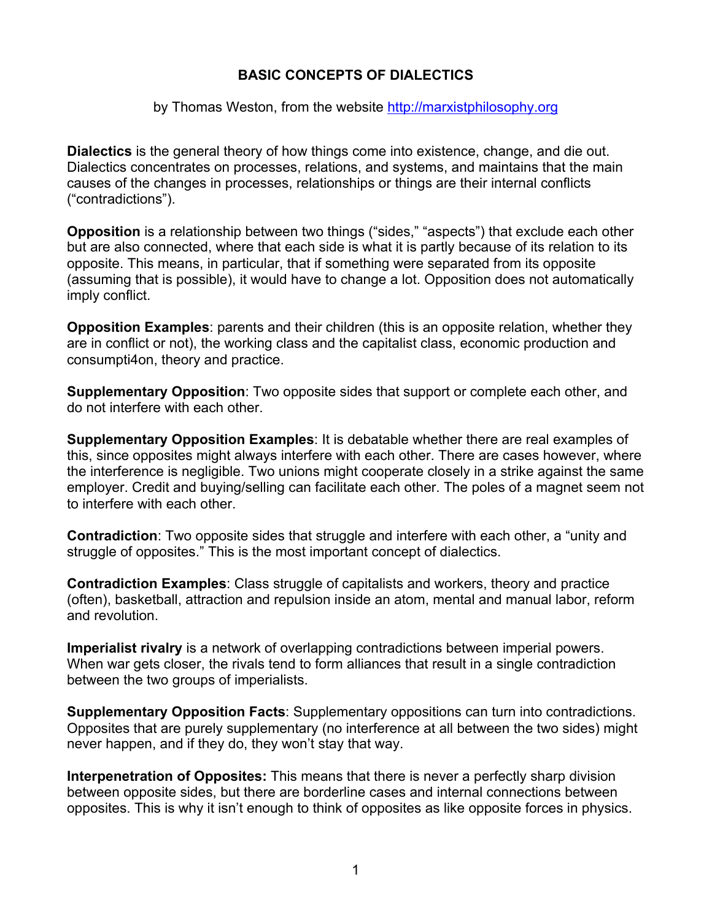## **BASIC CONCEPTS OF DIALECTICS**

## by Thomas Weston, from the website http://marxistphilosophy.org

**Dialectics** is the general theory of how things come into existence, change, and die out. Dialectics concentrates on processes, relations, and systems, and maintains that the main causes of the changes in processes, relationships or things are their internal conflicts ("contradictions").

**Opposition** is a relationship between two things ("sides," "aspects") that exclude each other but are also connected, where that each side is what it is partly because of its relation to its opposite. This means, in particular, that if something were separated from its opposite (assuming that is possible), it would have to change a lot. Opposition does not automatically imply conflict.

**Opposition Examples**: parents and their children (this is an opposite relation, whether they are in conflict or not), the working class and the capitalist class, economic production and consumpti4on, theory and practice.

**Supplementary Opposition**: Two opposite sides that support or complete each other, and do not interfere with each other.

**Supplementary Opposition Examples**: It is debatable whether there are real examples of this, since opposites might always interfere with each other. There are cases however, where the interference is negligible. Two unions might cooperate closely in a strike against the same employer. Credit and buying/selling can facilitate each other. The poles of a magnet seem not to interfere with each other.

**Contradiction**: Two opposite sides that struggle and interfere with each other, a "unity and struggle of opposites." This is the most important concept of dialectics.

**Contradiction Examples**: Class struggle of capitalists and workers, theory and practice (often), basketball, attraction and repulsion inside an atom, mental and manual labor, reform and revolution.

**Imperialist rivalry** is a network of overlapping contradictions between imperial powers. When war gets closer, the rivals tend to form alliances that result in a single contradiction between the two groups of imperialists.

**Supplementary Opposition Facts**: Supplementary oppositions can turn into contradictions. Opposites that are purely supplementary (no interference at all between the two sides) might never happen, and if they do, they won't stay that way.

**Interpenetration of Opposites:** This means that there is never a perfectly sharp division between opposite sides, but there are borderline cases and internal connections between opposites. This is why it isn't enough to think of opposites as like opposite forces in physics.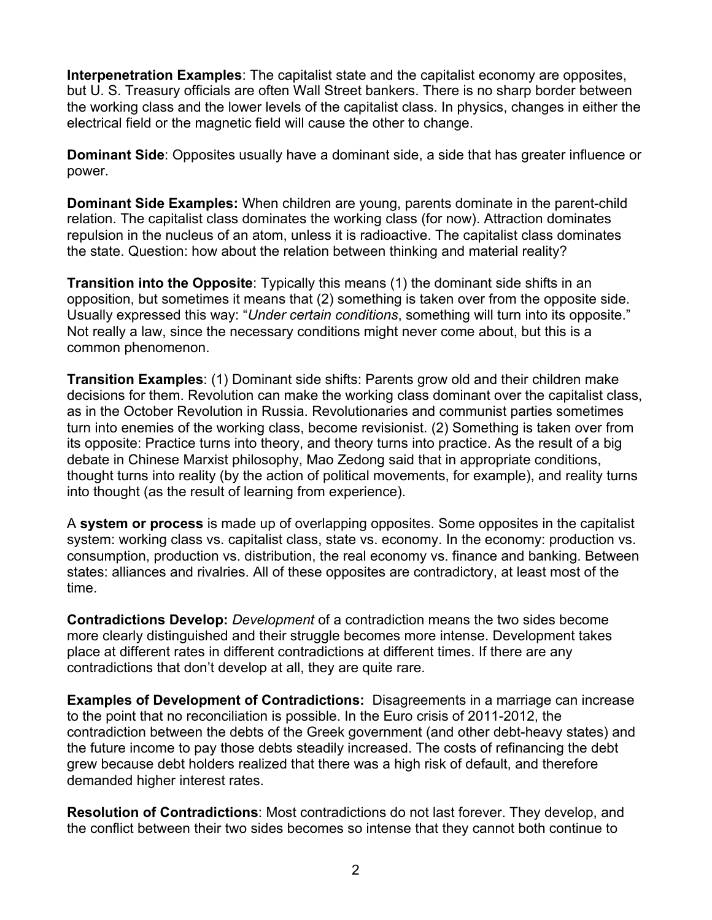**Interpenetration Examples**: The capitalist state and the capitalist economy are opposites, but U. S. Treasury officials are often Wall Street bankers. There is no sharp border between the working class and the lower levels of the capitalist class. In physics, changes in either the electrical field or the magnetic field will cause the other to change.

**Dominant Side**: Opposites usually have a dominant side, a side that has greater influence or power.

**Dominant Side Examples:** When children are young, parents dominate in the parent-child relation. The capitalist class dominates the working class (for now). Attraction dominates repulsion in the nucleus of an atom, unless it is radioactive. The capitalist class dominates the state. Question: how about the relation between thinking and material reality?

**Transition into the Opposite**: Typically this means (1) the dominant side shifts in an opposition, but sometimes it means that (2) something is taken over from the opposite side. Usually expressed this way: "*Under certain conditions*, something will turn into its opposite." Not really a law, since the necessary conditions might never come about, but this is a common phenomenon.

**Transition Examples**: (1) Dominant side shifts: Parents grow old and their children make decisions for them. Revolution can make the working class dominant over the capitalist class, as in the October Revolution in Russia. Revolutionaries and communist parties sometimes turn into enemies of the working class, become revisionist. (2) Something is taken over from its opposite: Practice turns into theory, and theory turns into practice. As the result of a big debate in Chinese Marxist philosophy, Mao Zedong said that in appropriate conditions, thought turns into reality (by the action of political movements, for example), and reality turns into thought (as the result of learning from experience).

A **system or process** is made up of overlapping opposites. Some opposites in the capitalist system: working class vs. capitalist class, state vs. economy. In the economy: production vs. consumption, production vs. distribution, the real economy vs. finance and banking. Between states: alliances and rivalries. All of these opposites are contradictory, at least most of the time.

**Contradictions Develop:** *Development* of a contradiction means the two sides become more clearly distinguished and their struggle becomes more intense. Development takes place at different rates in different contradictions at different times. If there are any contradictions that don't develop at all, they are quite rare.

**Examples of Development of Contradictions:** Disagreements in a marriage can increase to the point that no reconciliation is possible. In the Euro crisis of 2011-2012, the contradiction between the debts of the Greek government (and other debt-heavy states) and the future income to pay those debts steadily increased. The costs of refinancing the debt grew because debt holders realized that there was a high risk of default, and therefore demanded higher interest rates.

**Resolution of Contradictions**: Most contradictions do not last forever. They develop, and the conflict between their two sides becomes so intense that they cannot both continue to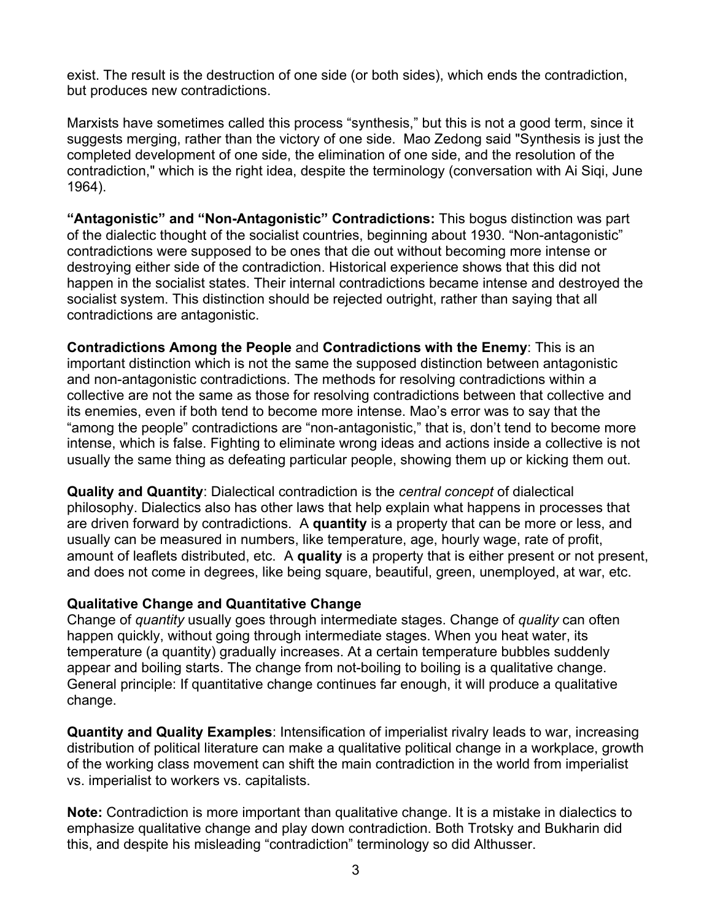exist. The result is the destruction of one side (or both sides), which ends the contradiction, but produces new contradictions.

Marxists have sometimes called this process "synthesis," but this is not a good term, since it suggests merging, rather than the victory of one side. Mao Zedong said "Synthesis is just the completed development of one side, the elimination of one side, and the resolution of the contradiction," which is the right idea, despite the terminology (conversation with Ai Siqi, June 1964).

**"Antagonistic" and "Non-Antagonistic" Contradictions:** This bogus distinction was part of the dialectic thought of the socialist countries, beginning about 1930. "Non-antagonistic" contradictions were supposed to be ones that die out without becoming more intense or destroying either side of the contradiction. Historical experience shows that this did not happen in the socialist states. Their internal contradictions became intense and destroyed the socialist system. This distinction should be rejected outright, rather than saying that all contradictions are antagonistic.

**Contradictions Among the People** and **Contradictions with the Enemy**: This is an important distinction which is not the same the supposed distinction between antagonistic and non-antagonistic contradictions. The methods for resolving contradictions within a collective are not the same as those for resolving contradictions between that collective and its enemies, even if both tend to become more intense. Mao's error was to say that the "among the people" contradictions are "non-antagonistic," that is, don't tend to become more intense, which is false. Fighting to eliminate wrong ideas and actions inside a collective is not usually the same thing as defeating particular people, showing them up or kicking them out.

**Quality and Quantity**: Dialectical contradiction is the *central concept* of dialectical philosophy. Dialectics also has other laws that help explain what happens in processes that are driven forward by contradictions. A **quantity** is a property that can be more or less, and usually can be measured in numbers, like temperature, age, hourly wage, rate of profit, amount of leaflets distributed, etc. A **quality** is a property that is either present or not present, and does not come in degrees, like being square, beautiful, green, unemployed, at war, etc.

## **Qualitative Change and Quantitative Change**

Change of *quantity* usually goes through intermediate stages. Change of *quality* can often happen quickly, without going through intermediate stages. When you heat water, its temperature (a quantity) gradually increases. At a certain temperature bubbles suddenly appear and boiling starts. The change from not-boiling to boiling is a qualitative change. General principle: If quantitative change continues far enough, it will produce a qualitative change.

**Quantity and Quality Examples**: Intensification of imperialist rivalry leads to war, increasing distribution of political literature can make a qualitative political change in a workplace, growth of the working class movement can shift the main contradiction in the world from imperialist vs. imperialist to workers vs. capitalists.

**Note:** Contradiction is more important than qualitative change. It is a mistake in dialectics to emphasize qualitative change and play down contradiction. Both Trotsky and Bukharin did this, and despite his misleading "contradiction" terminology so did Althusser.